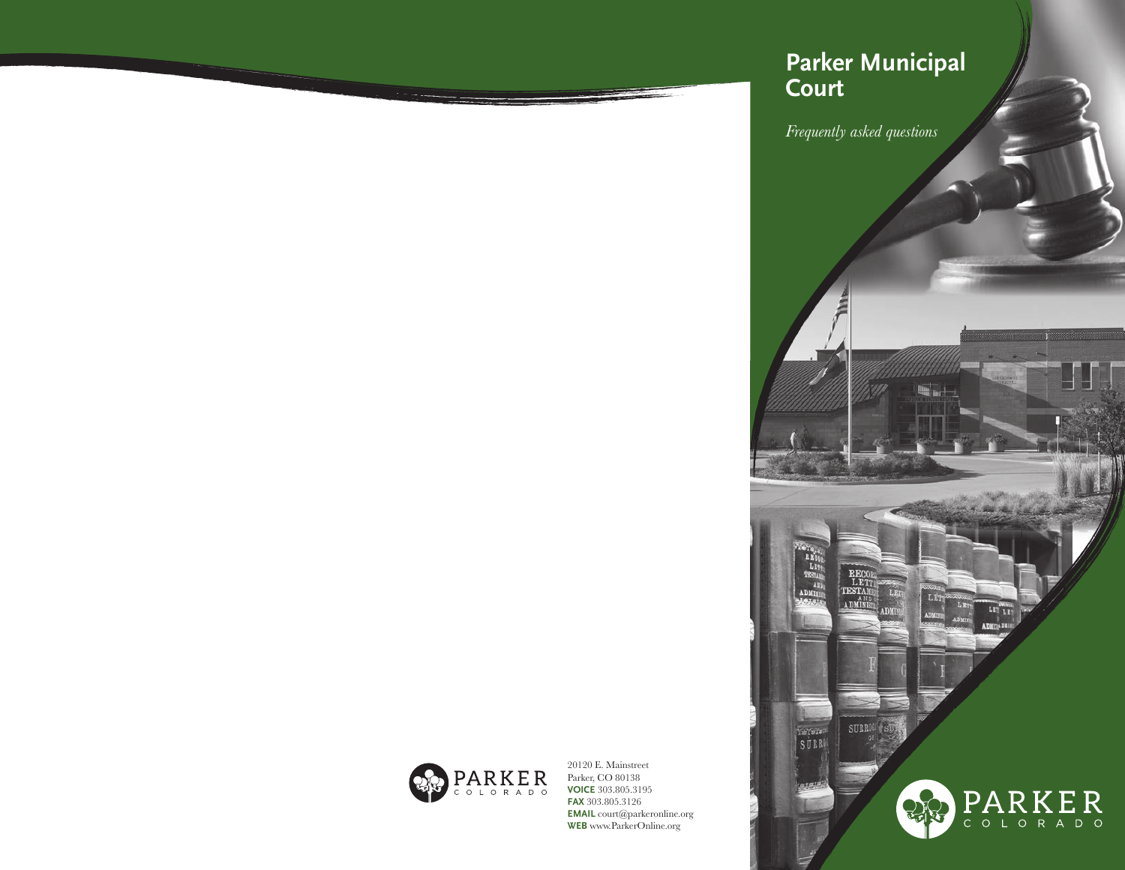# **Parker Municipal Court**

*Frequently asked questions*

 $L_{1}$ 

 $\begin{array}{r} \textbf{TST}_{\text{A1D}} \\ \textbf{A11} \end{array}$ 

SÚRK

RECO<br>LET<br>TESTAM

SURROL

22

 $\begin{tabular}{|c|c|} \hline \textbf{LIT} & \textbf{LTI} \\ \hline \end{tabular}$ 

 $\underset{\circ}{\mathbf{P}}\underset{\circ}{\mathbf{A}}\underset{\circ}{\mathbf{R}}\underset{\mathbf{R}}{\mathbf{K}}\underset{\mathbf{E}}{\mathbf{E}}\underset{\mathbf{R}}{\mathbf{R}}$ 



20120 E. Mainstreet Parker, CO 80138 **VOICE** 303.805.3195 **FAX** 303.805.3126 **EMAIL** court@parkeronline.org **WEB** www.ParkerOnline.org